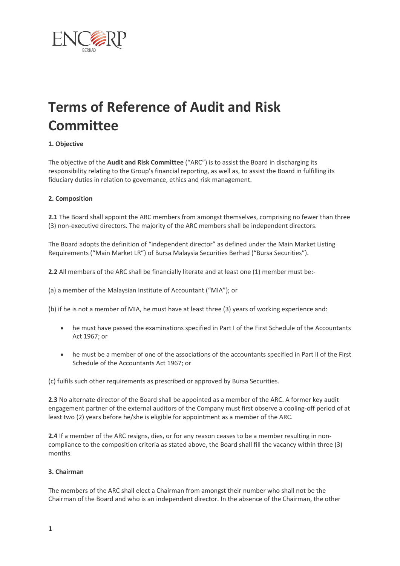

# **Terms of Reference of Audit and Risk Committee**

# **1. Objective**

The objective of the **Audit and Risk Committee** ("ARC") is to assist the Board in discharging its responsibility relating to the Group's financial reporting, as well as, to assist the Board in fulfilling its fiduciary duties in relation to governance, ethics and risk management.

# **2. Composition**

**2.1** The Board shall appoint the ARC members from amongst themselves, comprising no fewer than three (3) non-executive directors. The majority of the ARC members shall be independent directors.

The Board adopts the definition of "independent director" as defined under the Main Market Listing Requirements ("Main Market LR") of Bursa Malaysia Securities Berhad ("Bursa Securities").

**2.2** All members of the ARC shall be financially literate and at least one (1) member must be:-

(a) a member of the Malaysian Institute of Accountant ("MIA"); or

(b) if he is not a member of MIA, he must have at least three (3) years of working experience and:

- he must have passed the examinations specified in Part I of the First Schedule of the Accountants Act 1967; or
- he must be a member of one of the associations of the accountants specified in Part II of the First Schedule of the Accountants Act 1967; or

(c) fulfils such other requirements as prescribed or approved by Bursa Securities.

**2.3** No alternate director of the Board shall be appointed as a member of the ARC. A former key audit engagement partner of the external auditors of the Company must first observe a cooling-off period of at least two (2) years before he/she is eligible for appointment as a member of the ARC.

**2.4** If a member of the ARC resigns, dies, or for any reason ceases to be a member resulting in noncompliance to the composition criteria as stated above, the Board shall fill the vacancy within three (3) months.

#### **3. Chairman**

The members of the ARC shall elect a Chairman from amongst their number who shall not be the Chairman of the Board and who is an independent director. In the absence of the Chairman, the other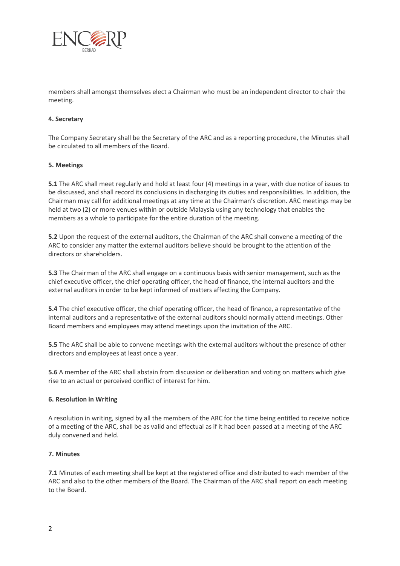

members shall amongst themselves elect a Chairman who must be an independent director to chair the meeting.

# **4. Secretary**

The Company Secretary shall be the Secretary of the ARC and as a reporting procedure, the Minutes shall be circulated to all members of the Board.

### **5. Meetings**

**5.1** The ARC shall meet regularly and hold at least four (4) meetings in a year, with due notice of issues to be discussed, and shall record its conclusions in discharging its duties and responsibilities. In addition, the Chairman may call for additional meetings at any time at the Chairman's discretion. ARC meetings may be held at two (2) or more venues within or outside Malaysia using any technology that enables the members as a whole to participate for the entire duration of the meeting.

**5.2** Upon the request of the external auditors, the Chairman of the ARC shall convene a meeting of the ARC to consider any matter the external auditors believe should be brought to the attention of the directors or shareholders.

**5.3** The Chairman of the ARC shall engage on a continuous basis with senior management, such as the chief executive officer, the chief operating officer, the head of finance, the internal auditors and the external auditors in order to be kept informed of matters affecting the Company.

**5.4** The chief executive officer, the chief operating officer, the head of finance, a representative of the internal auditors and a representative of the external auditors should normally attend meetings. Other Board members and employees may attend meetings upon the invitation of the ARC.

**5.5** The ARC shall be able to convene meetings with the external auditors without the presence of other directors and employees at least once a year.

**5.6** A member of the ARC shall abstain from discussion or deliberation and voting on matters which give rise to an actual or perceived conflict of interest for him.

#### **6. Resolution in Writing**

A resolution in writing, signed by all the members of the ARC for the time being entitled to receive notice of a meeting of the ARC, shall be as valid and effectual as if it had been passed at a meeting of the ARC duly convened and held.

# **7. Minutes**

**7.1** Minutes of each meeting shall be kept at the registered office and distributed to each member of the ARC and also to the other members of the Board. The Chairman of the ARC shall report on each meeting to the Board.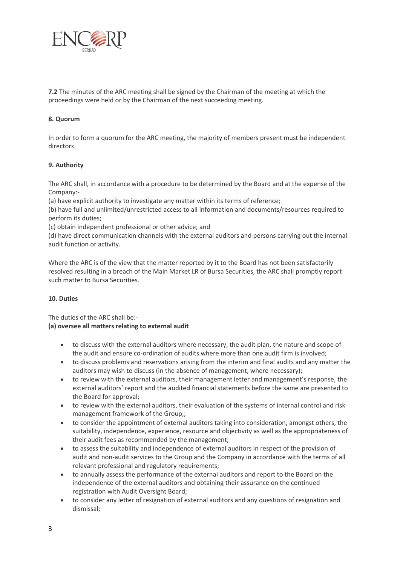

**7.2** The minutes of the ARC meeting shall be signed by the Chairman of the meeting at which the proceedings were held or by the Chairman of the next succeeding meeting.

# **8. Quorum**

In order to form a quorum for the ARC meeting, the majority of members present must be independent directors.

# **9. Authority**

The ARC shall, in accordance with a procedure to be determined by the Board and at the expense of the Company:-

(a) have explicit authority to investigate any matter within its terms of reference;

(b) have full and unlimited/unrestricted access to all information and documents/resources required to perform its duties;

(c) obtain independent professional or other advice; and

(d) have direct communication channels with the external auditors and persons carrying out the internal audit function or activity.

Where the ARC is of the view that the matter reported by it to the Board has not been satisfactorily resolved resulting in a breach of the Main Market LR of Bursa Securities, the ARC shall promptly report such matter to Bursa Securities.

# **10. Duties**

The duties of the ARC shall be:-

# **(a) oversee all matters relating to external audit**

- to discuss with the external auditors where necessary, the audit plan, the nature and scope of the audit and ensure co-ordination of audits where more than one audit firm is involved;
- to discuss problems and reservations arising from the interim and final audits and any matter the auditors may wish to discuss (in the absence of management, where necessary);
- to review with the external auditors, their management letter and management's response, the external auditors' report and the audited financial statements before the same are presented to the Board for approval;
- to review with the external auditors, their evaluation of the systems of internal control and risk management framework of the Group,;
- to consider the appointment of external auditors taking into consideration, amongst others, the suitability, independence, experience, resource and objectivity as well as the appropriateness of their audit fees as recommended by the management;
- to assess the suitability and independence of external auditors in respect of the provision of audit and non-audit services to the Group and the Company in accordance with the terms of all relevant professional and regulatory requirements;
- to annually assess the performance of the external auditors and report to the Board on the independence of the external auditors and obtaining their assurance on the continued registration with Audit Oversight Board;
- to consider any letter of resignation of external auditors and any questions of resignation and dismissal;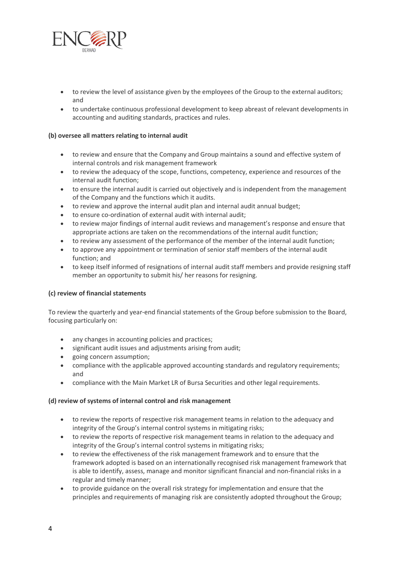

- to review the level of assistance given by the employees of the Group to the external auditors; and
- to undertake continuous professional development to keep abreast of relevant developments in accounting and auditing standards, practices and rules.

# **(b) oversee all matters relating to internal audit**

- to review and ensure that the Company and Group maintains a sound and effective system of internal controls and risk management framework
- to review the adequacy of the scope, functions, competency, experience and resources of the internal audit function;
- to ensure the internal audit is carried out objectively and is independent from the management of the Company and the functions which it audits.
- to review and approve the internal audit plan and internal audit annual budget;
- to ensure co-ordination of external audit with internal audit;
- to review major findings of internal audit reviews and management's response and ensure that appropriate actions are taken on the recommendations of the internal audit function;
- to review any assessment of the performance of the member of the internal audit function;
- to approve any appointment or termination of senior staff members of the internal audit function; and
- to keep itself informed of resignations of internal audit staff members and provide resigning staff member an opportunity to submit his/ her reasons for resigning.

# **(c) review of financial statements**

To review the quarterly and year-end financial statements of the Group before submission to the Board, focusing particularly on:

- any changes in accounting policies and practices;
- significant audit issues and adjustments arising from audit;
- going concern assumption;
- compliance with the applicable approved accounting standards and regulatory requirements; and
- compliance with the Main Market LR of Bursa Securities and other legal requirements.

# **(d) review of systems of internal control and risk management**

- to review the reports of respective risk management teams in relation to the adequacy and integrity of the Group's internal control systems in mitigating risks;
- to review the reports of respective risk management teams in relation to the adequacy and integrity of the Group's internal control systems in mitigating risks;
- to review the effectiveness of the risk management framework and to ensure that the framework adopted is based on an internationally recognised risk management framework that is able to identify, assess, manage and monitor significant financial and non-financial risks in a regular and timely manner;
- to provide guidance on the overall risk strategy for implementation and ensure that the principles and requirements of managing risk are consistently adopted throughout the Group;